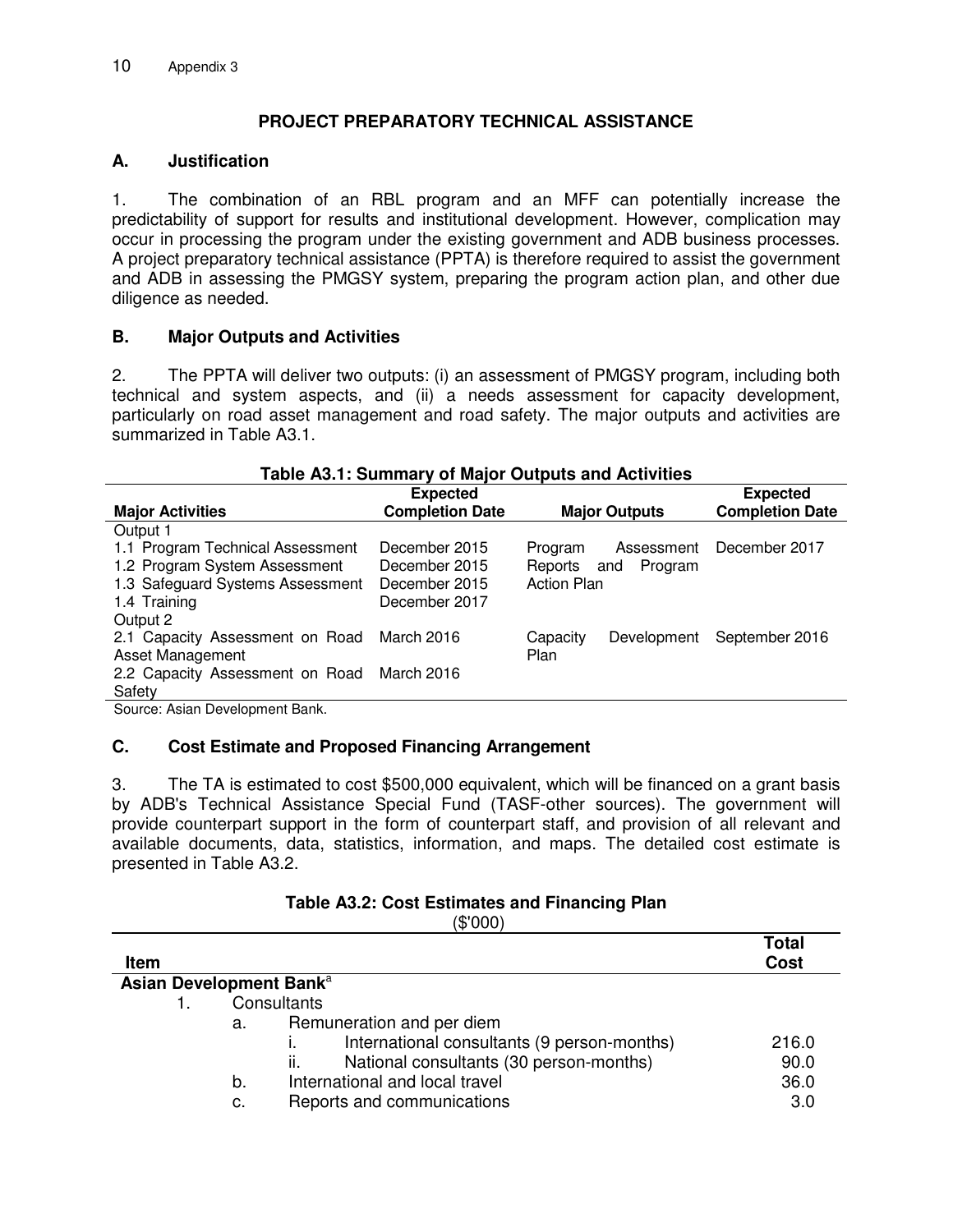# **PROJECT PREPARATORY TECHNICAL ASSISTANCE**

### **A. Justification**

1. The combination of an RBL program and an MFF can potentially increase the predictability of support for results and institutional development. However, complication may occur in processing the program under the existing government and ADB business processes. A project preparatory technical assistance (PPTA) is therefore required to assist the government and ADB in assessing the PMGSY system, preparing the program action plan, and other due diligence as needed.

### **B. Major Outputs and Activities**

2. The PPTA will deliver two outputs: (i) an assessment of PMGSY program, including both technical and system aspects, and (ii) a needs assessment for capacity development, particularly on road asset management and road safety. The major outputs and activities are summarized in Table A3.1.

| Table A3.1: Summary of Major Outputs and Activities |                        |                         |                        |  |
|-----------------------------------------------------|------------------------|-------------------------|------------------------|--|
|                                                     | <b>Expected</b>        |                         | <b>Expected</b>        |  |
| <b>Major Activities</b>                             | <b>Completion Date</b> | <b>Major Outputs</b>    | <b>Completion Date</b> |  |
| Output 1                                            |                        |                         |                        |  |
| 1.1 Program Technical Assessment                    | December 2015          | Assessment<br>Program   | December 2017          |  |
| 1.2 Program System Assessment                       | December 2015          | Reports and<br>Program  |                        |  |
| 1.3 Safeguard Systems Assessment                    | December 2015          | <b>Action Plan</b>      |                        |  |
| 1.4 Training                                        | December 2017          |                         |                        |  |
| Output 2                                            |                        |                         |                        |  |
| 2.1 Capacity Assessment on Road                     | March 2016             | Development<br>Capacity | September 2016         |  |
| Asset Management                                    |                        | Plan                    |                        |  |
| 2.2 Capacity Assessment on Road March 2016          |                        |                         |                        |  |
| Safety                                              |                        |                         |                        |  |
| Course: Asian Douslapmont Bank                      |                        |                         |                        |  |

Source: Asian Development Bank.

### **C. Cost Estimate and Proposed Financing Arrangement**

3. The TA is estimated to cost \$500,000 equivalent, which will be financed on a grant basis by ADB's Technical Assistance Special Fund (TASF-other sources). The government will provide counterpart support in the form of counterpart staff, and provision of all relevant and available documents, data, statistics, information, and maps. The detailed cost estimate is presented in Table A3.2.

## **Table A3.2: Cost Estimates and Financing Plan**

(\$'000)

| Item                                |                |                                                                                                                                                                                                           | <b>Total</b><br><b>Cost</b>  |
|-------------------------------------|----------------|-----------------------------------------------------------------------------------------------------------------------------------------------------------------------------------------------------------|------------------------------|
| Asian Development Bank <sup>a</sup> |                |                                                                                                                                                                                                           |                              |
|                                     | а.<br>b.<br>c. | Consultants<br>Remuneration and per diem<br>International consultants (9 person-months)<br>National consultants (30 person-months)<br>ii.<br>International and local travel<br>Reports and communications | 216.0<br>90.0<br>36.0<br>3.0 |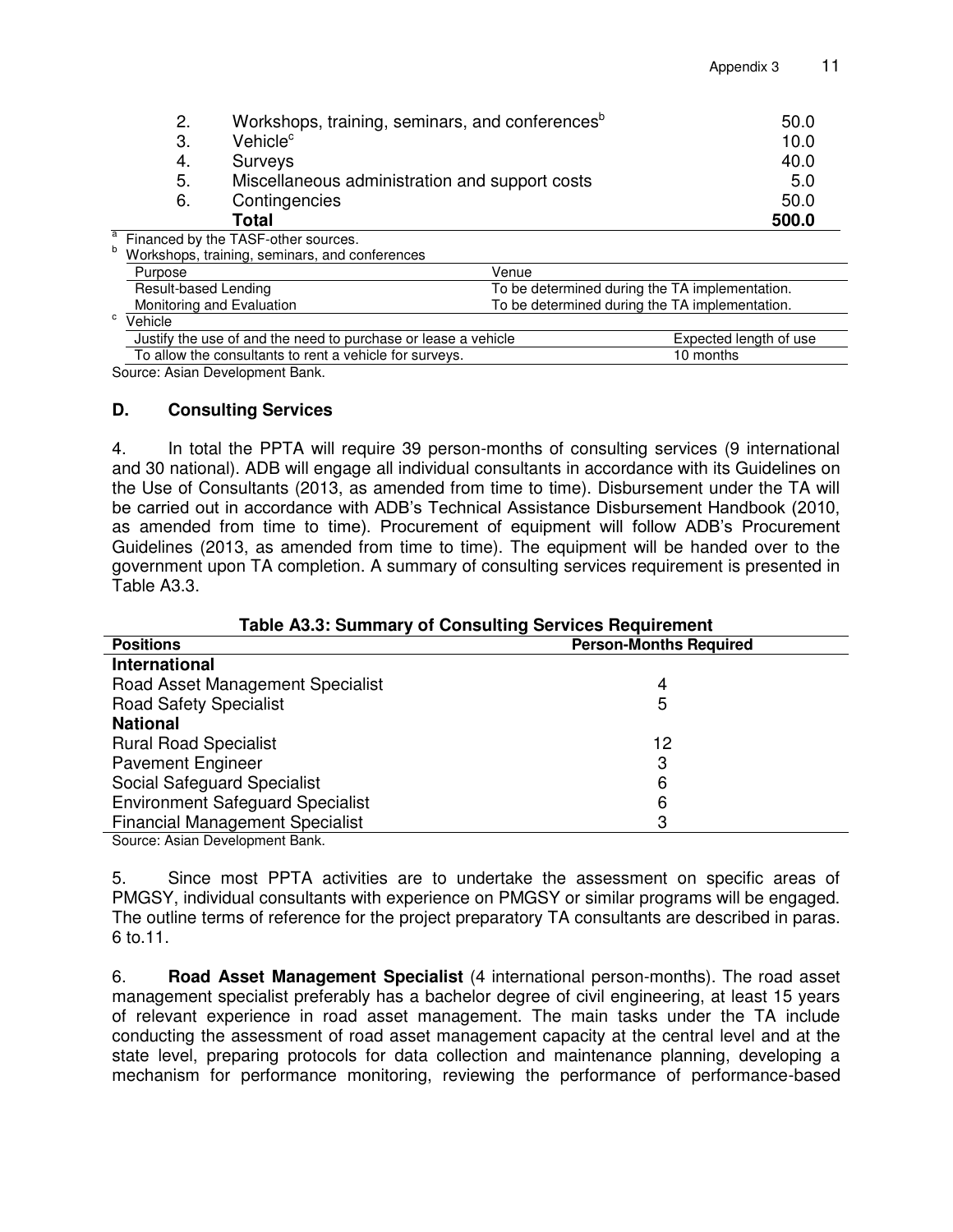|   | 2.                        | Workshops, training, seminars, and conferences <sup>b</sup>    |                                                | 50.0                   |
|---|---------------------------|----------------------------------------------------------------|------------------------------------------------|------------------------|
|   | 3.                        | Vehicle <sup>c</sup>                                           |                                                | 10.0                   |
|   | 4.                        | <b>Surveys</b>                                                 |                                                | 40.0                   |
|   | 5.                        | Miscellaneous administration and support costs                 |                                                | 5.0                    |
|   | 6.                        | Contingencies                                                  |                                                | 50.0                   |
|   |                           | Total                                                          |                                                | 500.0                  |
| a |                           | Financed by the TASF-other sources.                            |                                                |                        |
| b |                           | Workshops, training, seminars, and conferences                 |                                                |                        |
|   | Purpose                   |                                                                | Venue                                          |                        |
|   | Result-based Lending      |                                                                | To be determined during the TA implementation. |                        |
|   | Monitoring and Evaluation |                                                                | To be determined during the TA implementation. |                        |
| C | $\overline{V}$ ehicle     |                                                                |                                                |                        |
|   |                           | Justify the use of and the need to purchase or lease a vehicle |                                                | Expected length of use |
|   |                           | To allow the consultants to rent a vehicle for surveys.        |                                                | 10 months              |

Source: Asian Development Bank.

#### **D. Consulting Services**

4. In total the PPTA will require 39 person-months of consulting services (9 international and 30 national). ADB will engage all individual consultants in accordance with its Guidelines on the Use of Consultants (2013, as amended from time to time). Disbursement under the TA will be carried out in accordance with ADB's Technical Assistance Disbursement Handbook (2010, as amended from time to time). Procurement of equipment will follow ADB's Procurement Guidelines (2013, as amended from time to time). The equipment will be handed over to the government upon TA completion. A summary of consulting services requirement is presented in Table A3.3.

| <b>Table A3.3: Summary of Consulting Services Requirement</b> |                               |  |  |
|---------------------------------------------------------------|-------------------------------|--|--|
| <b>Positions</b>                                              | <b>Person-Months Required</b> |  |  |
| International                                                 |                               |  |  |
| Road Asset Management Specialist                              | 4                             |  |  |
| <b>Road Safety Specialist</b>                                 | 5                             |  |  |
| <b>National</b>                                               |                               |  |  |
| <b>Rural Road Specialist</b>                                  | 12                            |  |  |
| <b>Pavement Engineer</b>                                      | 3                             |  |  |
| Social Safeguard Specialist                                   | 6                             |  |  |
| <b>Environment Safeguard Specialist</b>                       | 6                             |  |  |
| <b>Financial Management Specialist</b><br>3                   |                               |  |  |
| Course Asian Davalanment Dank                                 |                               |  |  |

Source: Asian Development Bank.

5. Since most PPTA activities are to undertake the assessment on specific areas of PMGSY, individual consultants with experience on PMGSY or similar programs will be engaged. The outline terms of reference for the project preparatory TA consultants are described in paras. 6 to.11.

6. **Road Asset Management Specialist** (4 international person-months). The road asset management specialist preferably has a bachelor degree of civil engineering, at least 15 years of relevant experience in road asset management. The main tasks under the TA include conducting the assessment of road asset management capacity at the central level and at the state level, preparing protocols for data collection and maintenance planning, developing a mechanism for performance monitoring, reviewing the performance of performance-based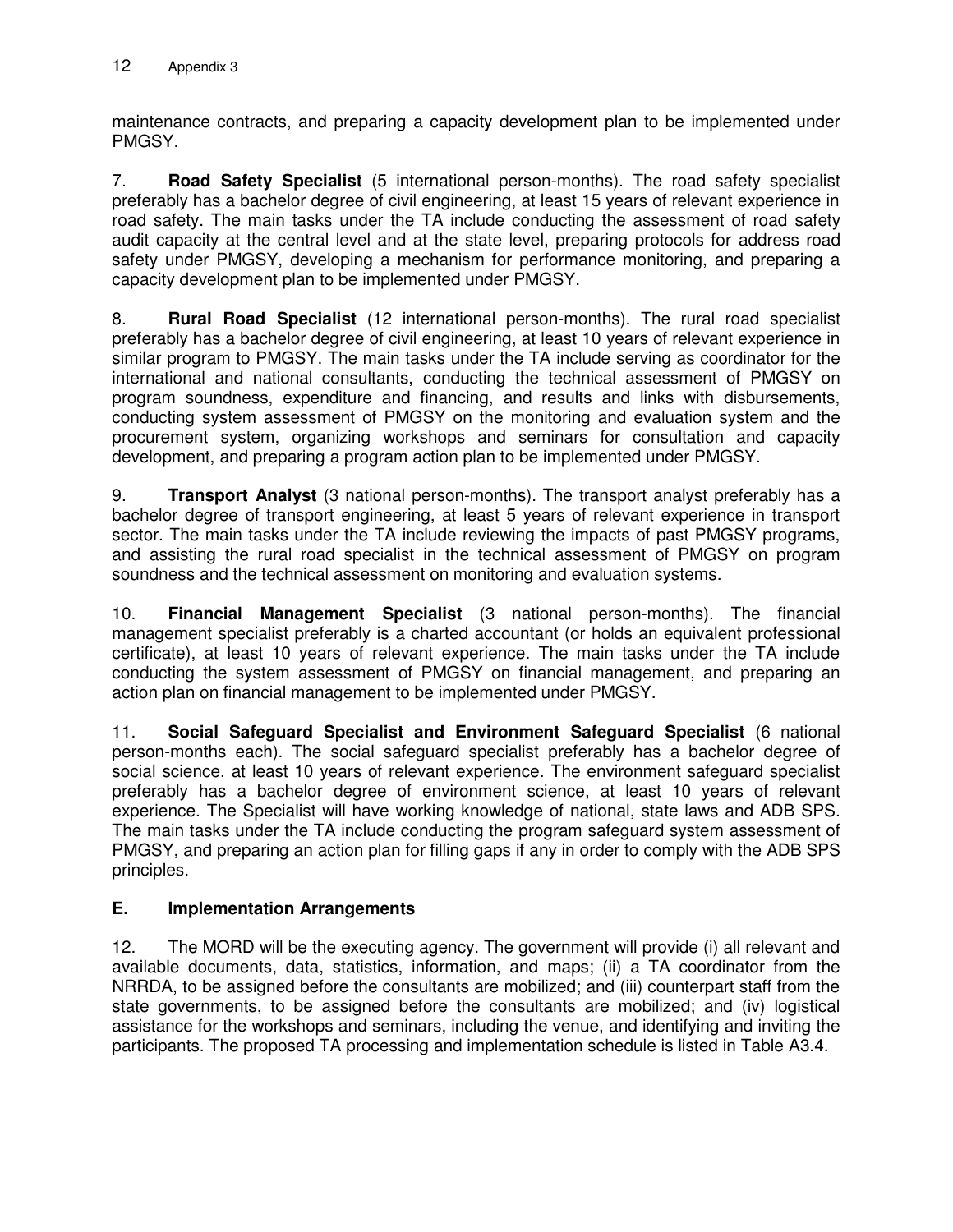maintenance contracts, and preparing a capacity development plan to be implemented under PMGSY.

7. **Road Safety Specialist** (5 international person-months). The road safety specialist preferably has a bachelor degree of civil engineering, at least 15 years of relevant experience in road safety. The main tasks under the TA include conducting the assessment of road safety audit capacity at the central level and at the state level, preparing protocols for address road safety under PMGSY, developing a mechanism for performance monitoring, and preparing a capacity development plan to be implemented under PMGSY.

8. **Rural Road Specialist** (12 international person-months). The rural road specialist preferably has a bachelor degree of civil engineering, at least 10 years of relevant experience in similar program to PMGSY. The main tasks under the TA include serving as coordinator for the international and national consultants, conducting the technical assessment of PMGSY on program soundness, expenditure and financing, and results and links with disbursements, conducting system assessment of PMGSY on the monitoring and evaluation system and the procurement system, organizing workshops and seminars for consultation and capacity development, and preparing a program action plan to be implemented under PMGSY.

9. **Transport Analyst** (3 national person-months). The transport analyst preferably has a bachelor degree of transport engineering, at least 5 years of relevant experience in transport sector. The main tasks under the TA include reviewing the impacts of past PMGSY programs, and assisting the rural road specialist in the technical assessment of PMGSY on program soundness and the technical assessment on monitoring and evaluation systems.

10. **Financial Management Specialist** (3 national person-months). The financial management specialist preferably is a charted accountant (or holds an equivalent professional certificate), at least 10 years of relevant experience. The main tasks under the TA include conducting the system assessment of PMGSY on financial management, and preparing an action plan on financial management to be implemented under PMGSY.

11. **Social Safeguard Specialist and Environment Safeguard Specialist** (6 national person-months each). The social safeguard specialist preferably has a bachelor degree of social science, at least 10 years of relevant experience. The environment safeguard specialist preferably has a bachelor degree of environment science, at least 10 years of relevant experience. The Specialist will have working knowledge of national, state laws and ADB SPS. The main tasks under the TA include conducting the program safeguard system assessment of PMGSY, and preparing an action plan for filling gaps if any in order to comply with the ADB SPS principles.

## **E. Implementation Arrangements**

12. The MORD will be the executing agency. The government will provide (i) all relevant and available documents, data, statistics, information, and maps; (ii) a TA coordinator from the NRRDA, to be assigned before the consultants are mobilized; and (iii) counterpart staff from the state governments, to be assigned before the consultants are mobilized; and (iv) logistical assistance for the workshops and seminars, including the venue, and identifying and inviting the participants. The proposed TA processing and implementation schedule is listed in Table A3.4.